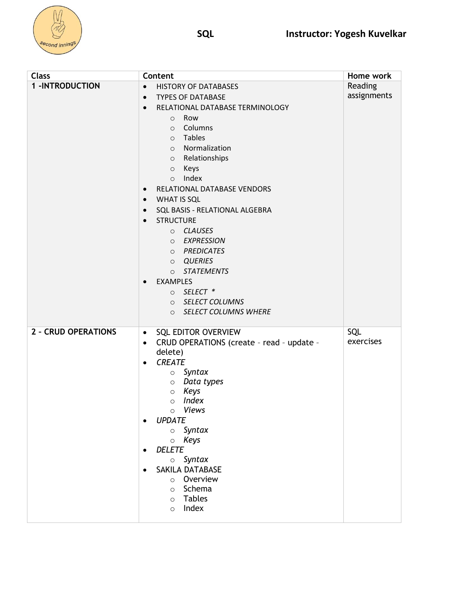

| <b>Class</b>               | Content                                                | Home work   |
|----------------------------|--------------------------------------------------------|-------------|
| <b>1-INTRODUCTION</b>      | <b>HISTORY OF DATABASES</b><br>$\bullet$               | Reading     |
|                            | <b>TYPES OF DATABASE</b><br>$\bullet$                  | assignments |
|                            | RELATIONAL DATABASE TERMINOLOGY<br>$\bullet$           |             |
|                            | Row<br>$\circ$                                         |             |
|                            | Columns<br>$\circ$                                     |             |
|                            | Tables<br>$\circ$                                      |             |
|                            | Normalization<br>$\circ$                               |             |
|                            | o Relationships                                        |             |
|                            | Keys<br>$\circ$                                        |             |
|                            | Index<br>$\circ$                                       |             |
|                            | RELATIONAL DATABASE VENDORS<br>$\bullet$               |             |
|                            | WHAT IS SQL<br>$\bullet$                               |             |
|                            | SQL BASIS - RELATIONAL ALGEBRA<br>$\bullet$            |             |
|                            | <b>STRUCTURE</b><br>$\bullet$                          |             |
|                            | O CLAUSES                                              |             |
|                            | O EXPRESSION                                           |             |
|                            | O PREDICATES                                           |             |
|                            | O QUERIES                                              |             |
|                            | O STATEMENTS                                           |             |
|                            | <b>EXAMPLES</b><br>$\bullet$                           |             |
|                            | o SELECT *                                             |             |
|                            | O SELECT COLUMNS                                       |             |
|                            | <b>SELECT COLUMNS WHERE</b><br>$\circ$                 |             |
| <b>2 - CRUD OPERATIONS</b> | <b>SQL EDITOR OVERVIEW</b><br>$\bullet$                | SQL         |
|                            | CRUD OPERATIONS (create - read - update -<br>$\bullet$ | exercises   |
|                            | delete)                                                |             |
|                            | <b>CREATE</b><br>$\bullet$                             |             |
|                            | Syntax<br>$\circ$                                      |             |
|                            | $\circ$ Data types                                     |             |
|                            | Keys<br>$\circ$                                        |             |
|                            | Index<br>$\circ$                                       |             |
|                            | Views<br>$\circ$<br><b>UPDATE</b>                      |             |
|                            | $\bullet$<br>Syntax<br>$\circ$                         |             |
|                            | Keys<br>$\circ$                                        |             |
|                            | <b>DELETE</b><br>٠                                     |             |
|                            | $\circ$ Syntax                                         |             |
|                            | SAKILA DATABASE                                        |             |
|                            | Overview<br>$\circ$                                    |             |
|                            | Schema<br>$\circ$                                      |             |
|                            | <b>Tables</b><br>$\circ$                               |             |
|                            | Index<br>$\circ$                                       |             |